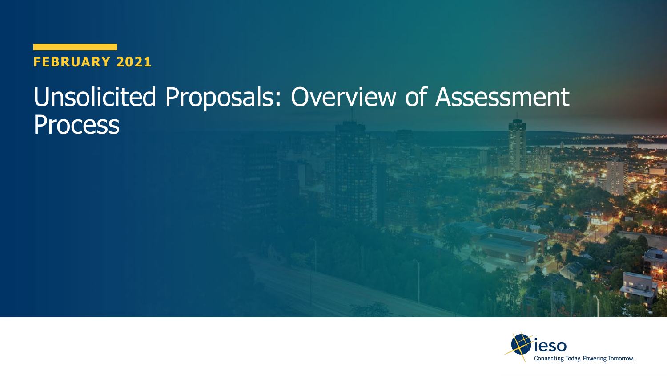**FEBRUARY 2021**

# Unsolicited Proposals: Overview of Assessment **Process**

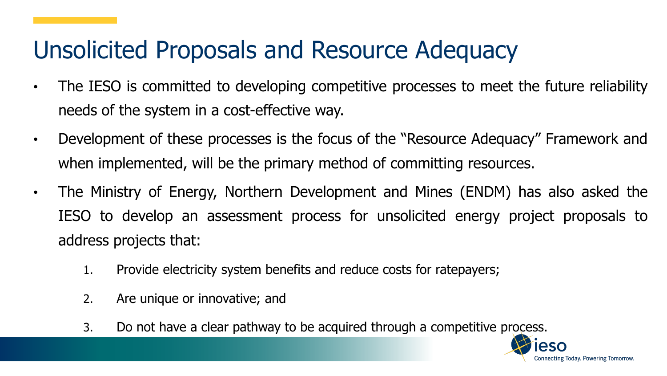### Unsolicited Proposals and Resource Adequacy

- The IESO is committed to developing competitive processes to meet the future reliability needs of the system in a cost-effective way.
- Development of these processes is the focus of the "Resource Adequacy" Framework and when implemented, will be the primary method of committing resources.
- The Ministry of Energy, Northern Development and Mines (ENDM) has also asked the IESO to develop an assessment process for unsolicited energy project proposals to address projects that:
	- 1. Provide electricity system benefits and reduce costs for ratepayers;
	- 2. Are unique or innovative; and
	- 3. Do not have a clear pathway to be acquired through a competitive process.

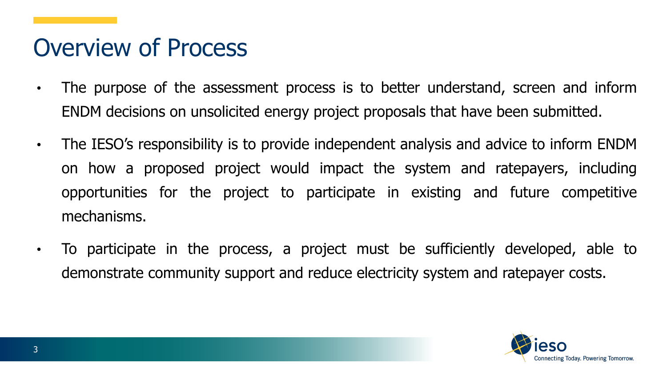#### Overview of Process

- The purpose of the assessment process is to better understand, screen and inform ENDM decisions on unsolicited energy project proposals that have been submitted.
- The IESO's responsibility is to provide independent analysis and advice to inform ENDM on how a proposed project would impact the system and ratepayers, including opportunities for the project to participate in existing and future competitive mechanisms.
- To participate in the process, a project must be sufficiently developed, able to demonstrate community support and reduce electricity system and ratepayer costs.

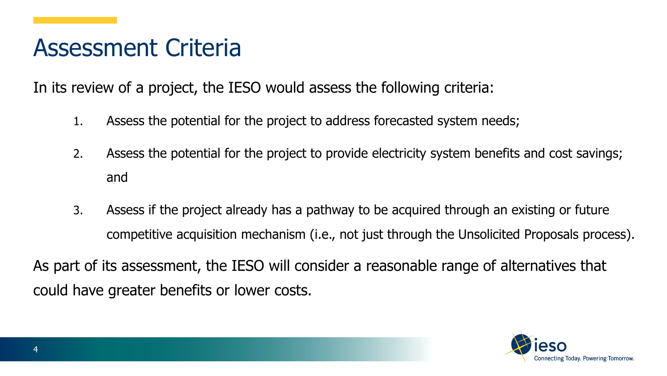#### Assessment Criteria

In its review of a project, the IESO would assess the following criteria:

- 1. Assess the potential for the project to address forecasted system needs;
- 2. Assess the potential for the project to provide electricity system benefits and cost savings; and
- 3. Assess if the project already has a pathway to be acquired through an existing or future competitive acquisition mechanism (i.e., not just through the Unsolicited Proposals process).

As part of its assessment, the IESO will consider a reasonable range of alternatives that could have greater benefits or lower costs.

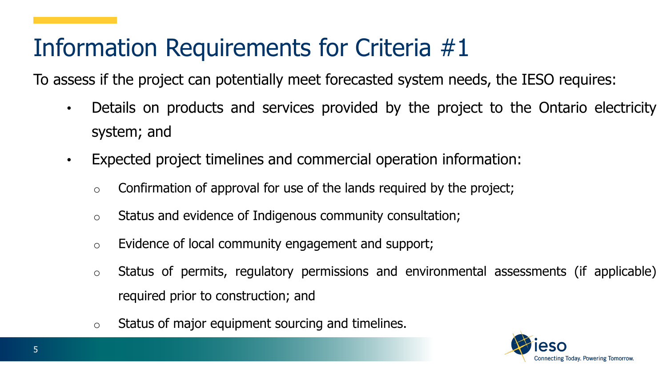### Information Requirements for Criteria #1

To assess if the project can potentially meet forecasted system needs, the IESO requires:

- Details on products and services provided by the project to the Ontario electricity system; and
- Expected project timelines and commercial operation information:
	- $\circ$  Confirmation of approval for use of the lands required by the project;
	- o Status and evidence of Indigenous community consultation;
	- o Evidence of local community engagement and support;
	- o Status of permits, regulatory permissions and environmental assessments (if applicable) required prior to construction; and
	- o Status of major equipment sourcing and timelines.

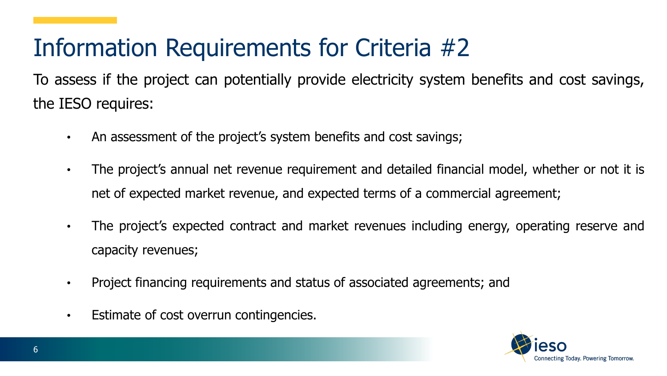# Information Requirements for Criteria #2

To assess if the project can potentially provide electricity system benefits and cost savings, the IESO requires:

- An assessment of the project's system benefits and cost savings;
- The project's annual net revenue requirement and detailed financial model, whether or not it is net of expected market revenue, and expected terms of a commercial agreement;
- The project's expected contract and market revenues including energy, operating reserve and capacity revenues;
- Project financing requirements and status of associated agreements; and
- Estimate of cost overrun contingencies.

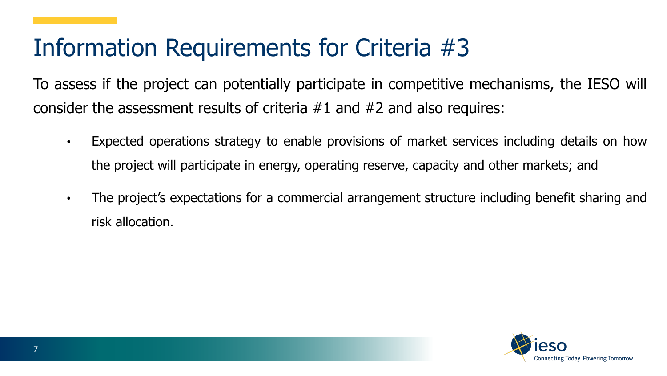### Information Requirements for Criteria #3

To assess if the project can potentially participate in competitive mechanisms, the IESO will consider the assessment results of criteria #1 and #2 and also requires:

- Expected operations strategy to enable provisions of market services including details on how the project will participate in energy, operating reserve, capacity and other markets; and
- The project's expectations for a commercial arrangement structure including benefit sharing and risk allocation.

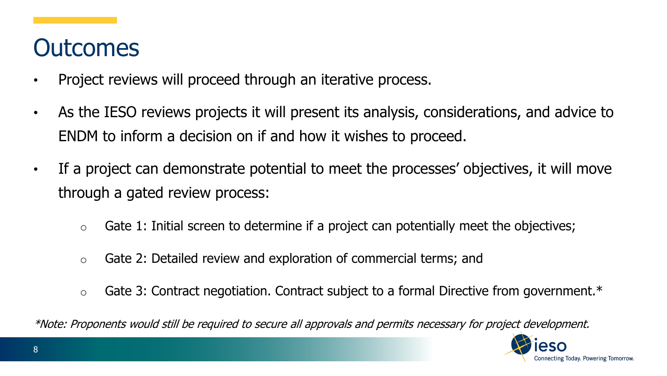#### **Outcomes**

- Project reviews will proceed through an iterative process.
- As the IESO reviews projects it will present its analysis, considerations, and advice to ENDM to inform a decision on if and how it wishes to proceed.
- If a project can demonstrate potential to meet the processes' objectives, it will move through a gated review process:
	- $\circ$  Gate 1: Initial screen to determine if a project can potentially meet the objectives;
	- o Gate 2: Detailed review and exploration of commercial terms; and
	- $\circ$  Gate 3: Contract negotiation. Contract subject to a formal Directive from government.\*

\*Note: Proponents would still be required to secure all approvals and permits necessary for project development.